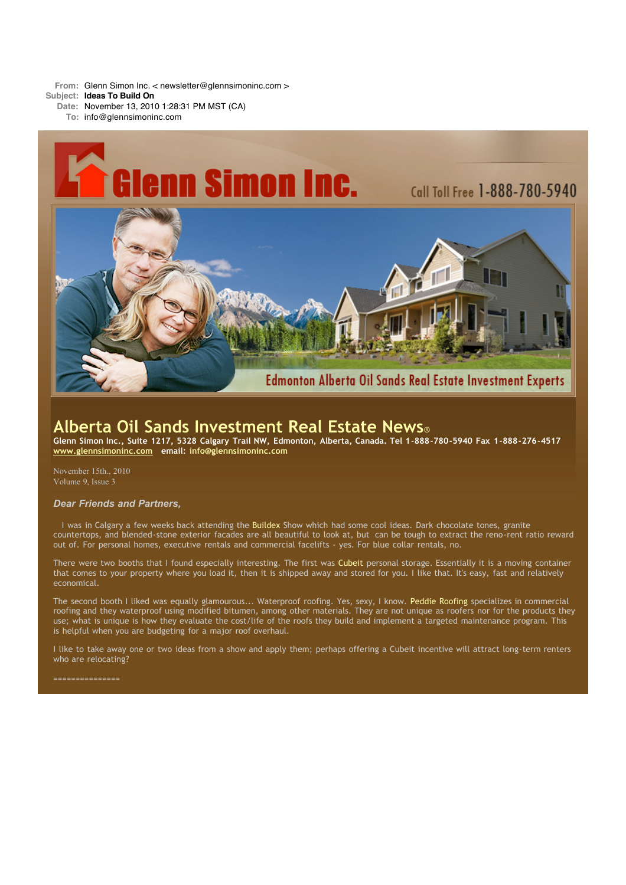**From:** Glenn Simon Inc. < newsletter@glennsimoninc.com >

- **Subject: Ideas To Build On**
	- **Date:** November 13, 2010 1:28:31 PM MST (CA)
	- **To:** info@glennsimoninc.com



# **Alberta Oil Sands Investment Real Estate News**®

Glenn Simon Inc., Suite 1217, 5328 Calgary Trail NW, Edmonton, Alberta, Canada. Tel 1-888-780-5940 Fax 1-888-276-4517 **[www.glennsimoninc.com](http://www.glennsimoninc.com/) email: [info@glennsimoninc.com](mailto:info@glennsimoninc.com)**

November 15th., 2010 Volume 9, Issue 3

## *Dear Friends and Partners,*

I was in Calgary a few weeks back attending the [Buildex](http://www.buildexcalgary.com/a_why_attend.htm) Show which had some cool ideas. Dark chocolate tones, granite countertops, and blended-stone exterior facades are all beautiful to look at, but can be tough to extract the reno-rent ratio reward out of. For personal homes, executive rentals and commercial facelifts - yes. For blue collar rentals, no.

There were two booths that I found especially interesting. The first was [Cubeit](http://www.cubeit.ca/) personal storage. Essentially it is a moving container that comes to your property where you load it, then it is shipped away and stored for you. I like that. It's easy, fast and relatively economical.

The second booth I liked was equally glamourous... Waterproof roofing. Yes, sexy, I know. Peddie [Roofing](http://peddieroofing.ca/gallery_bitumen/index.html) specializes in commercial roofing and they waterproof using modified bitumen, among other materials. They are not unique as roofers nor for the products they use; what is unique is how they evaluate the cost/life of the roofs they build and implement a targeted maintenance program. This is helpful when you are budgeting for a major roof overhaul.

I like to take away one or two ideas from a show and apply them; perhaps offering a Cubeit incentive will attract long-term renters who are relocating?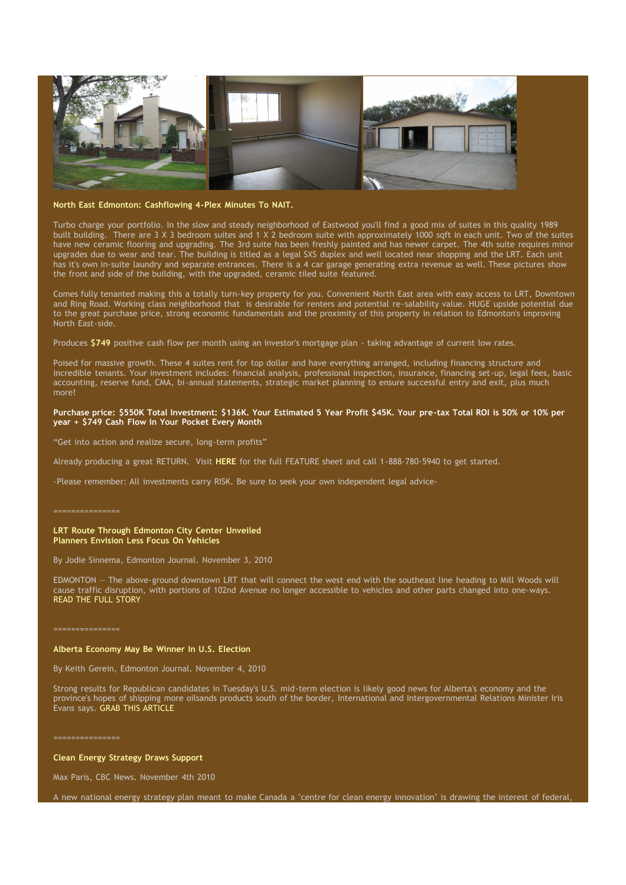

# **North East Edmonton: [Cashflowing](http://www.glennsimoninc.com/featured_detail.php?id=76) 4-Plex Minutes To NAIT.**

Turbo charge your portfolio. In the slow and steady neighborhood of Eastwood you'll find a good mix of suites in this quality 1989 built building. There are 3 X 3 bedroom suites and 1 X 2 bedroom suite with approximately 1000 sqft in each unit. Two of the suites have new ceramic flooring and upgrading. The 3rd suite has been freshly painted and has newer carpet. The 4th suite requires minor upgrades due to wear and tear. The building is titled as a legal SXS duplex and well located near shopping and the LRT. Each unit has it's own in-suite laundry and separate entrances. There is a 4 car garage generating extra revenue as well. These pictures show the front and side of the building, with the upgraded, ceramic tiled suite featured.

Comes fully tenanted making this a totally turn-key property for you. Convenient North East area with easy access to LRT, Downtown and Ring Road. Working class neighborhood that is desirable for renters and potential re-salability value. HUGE upside potential due to the great purchase price, strong economic fundamentals and the proximity of this property in relation to Edmonton's improving North East-side.

Produces **[\\$749](http://www.glennsimoninc.com/featured_detail.php?id=76)** positive cash flow per month using an investor's mortgage plan - taking advantage of current low rates.

Poised for massive growth. These 4 suites rent for top dollar and have everything arranged, including financing structure and incredible tenants. Your investment includes: financial analysis, professional inspection, insurance, financing set-up, legal fees, basic accounting, reserve fund, CMA, bi-annual statements, strategic market planning to ensure successful entry and exit, plus much more!

### Purchase price: \$550K Total [Investment:](http://www.glennsimoninc.com/featured_detail.php?id=76) \$136K. Your Estimated 5 Year Profit \$45K. Your pre-tax Total ROI is 50% or 10% per **year + \$749 Cash Flow in Your Pocket Every Month**

"Get into action and realize secure, long-term profits"

Already producing a great RETURN. Visit **[HERE](http://www.glennsimoninc.com/featured_detail.php?id=76)** for the full FEATURE sheet and call 1-888-780-5940 to get started.

-Please remember: All investments carry RISK. Be sure to seek your own independent legal advice-

#### **LRT Route Through Edmonton City Center Unveiled Planners Envision Less Focus On Vehicles**

By Jodie Sinnema, Edmonton Journal. November 3, 2010

EDMONTON — The above-ground downtown LRT that will connect the west end with the southeast line heading to Mill Woods will cause traffic disruption, with portions of 102nd Avenue no longer accessible to vehicles and other parts changed into one-ways. READ THE FULL [STORY](http://www.edmontonjournal.com/travel/route+through+city+centre+unveiled/3767325/story.html)

===============

## **Alberta Economy May Be Winner In U.S. Election**

By Keith Gerein, Edmonton Journal. November 4, 2010

Strong results for Republican candidates in Tuesday's U.S. mid-term election is likely good news for Alberta's economy and the province's hopes of shipping more oilsands products south of the border, International and Intergovernmental Relations Minister Iris Evans says. GRAB THIS [ARTICLE](http://www.edmontonjournal.com/business/Alberta+economy+winner+election/3775041/story.html)

===============

**Clean Energy Strategy Draws Support**

Max Paris, CBC News. November 4th 2010

A new national energy strategy plan meant to make Canada a "centre for clean energy innovation" is drawing the interest of federal,